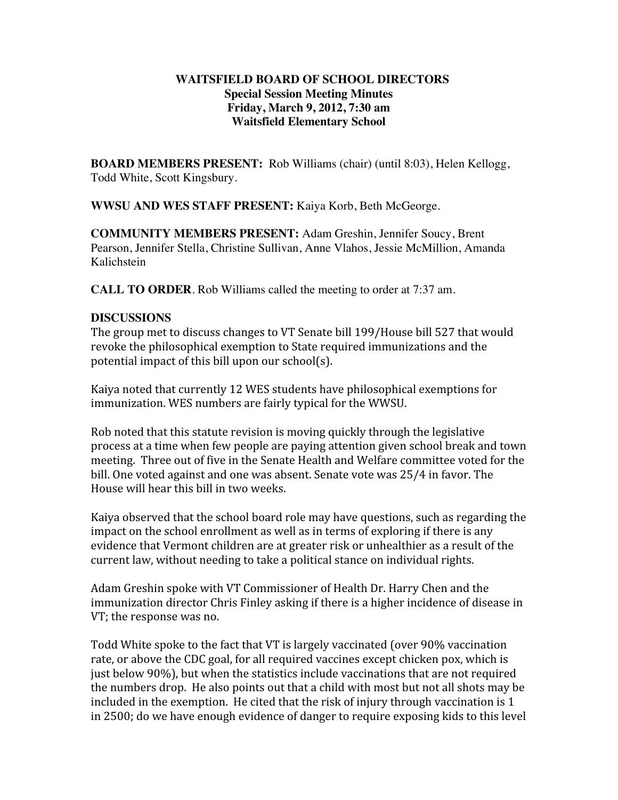## **WAITSFIELD BOARD OF SCHOOL DIRECTORS Special Session Meeting Minutes Friday, March 9, 2012, 7:30 am Waitsfield Elementary School**

**BOARD MEMBERS PRESENT:** Rob Williams (chair) (until 8:03), Helen Kellogg, Todd White, Scott Kingsbury.

**WWSU AND WES STAFF PRESENT:** Kaiya Korb, Beth McGeorge.

**COMMUNITY MEMBERS PRESENT:** Adam Greshin, Jennifer Soucy, Brent Pearson, Jennifer Stella, Christine Sullivan, Anne Vlahos, Jessie McMillion, Amanda Kalichstein

**CALL TO ORDER**. Rob Williams called the meeting to order at 7:37 am.

## **DISCUSSIONS**

The group met to discuss changes to VT Senate bill 199/House bill 527 that would revoke the philosophical exemption to State required immunizations and the potential impact of this bill upon our school(s).

Kaiya noted that currently 12 WES students have philosophical exemptions for immunization. WES numbers are fairly typical for the WWSU.

Rob noted that this statute revision is moving quickly through the legislative process at a time when few people are paying attention given school break and town meeting. Three out of five in the Senate Health and Welfare committee voted for the bill. One voted against and one was absent. Senate vote was 25/4 in favor. The House will hear this bill in two weeks.

Kaiya observed that the school board role may have questions, such as regarding the impact on the school enrollment as well as in terms of exploring if there is any evidence that Vermont children are at greater risk or unhealthier as a result of the current law, without needing to take a political stance on individual rights.

Adam Greshin spoke with VT Commissioner of Health Dr. Harry Chen and the immunization director Chris Finley asking if there is a higher incidence of disease in VT; the response was no.

Todd White spoke to the fact that VT is largely vaccinated (over 90% vaccination rate, or above the CDC goal, for all required vaccines except chicken pox, which is just below 90%), but when the statistics include vaccinations that are not required the numbers drop. He also points out that a child with most but not all shots may be included in the exemption. He cited that the risk of injury through vaccination is 1 in 2500; do we have enough evidence of danger to require exposing kids to this level